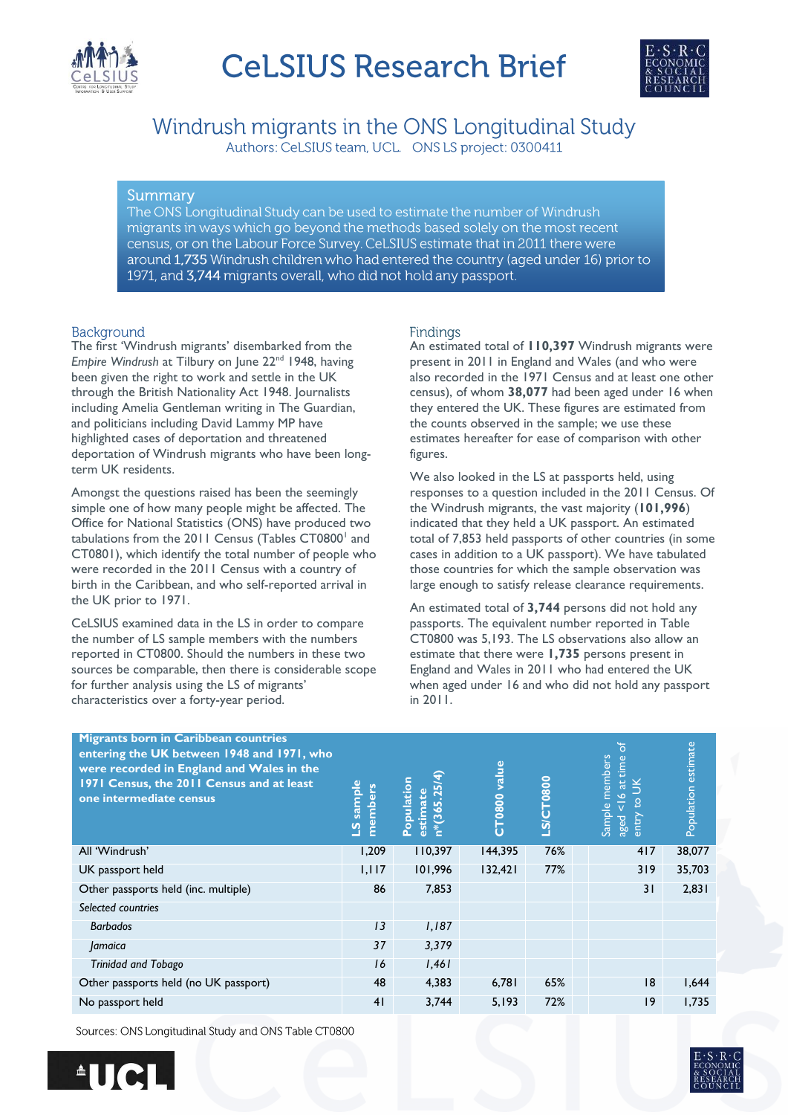



Windrush migrants in the ONS Longitudinal Study Authors: CeLSIUS team, UCL. ONS LS project: 0300411

# Summary

The ONS Longitudinal Study can be used to estimate the number of Windrush migrants in ways which go beyond the methods based solely on the most recent census, or on the Labour Force Survey. CeLSIUS estimate that in 2011 there were around 1,735 Windrush children who had entered the country (aged under 16) prior to 1971, and 3,744 migrants overall, who did not hold any passport.

# Background

The first 'Windrush migrants' disembarked from the *Empire* Windrush at Tilbury on June 22<sup>nd</sup> 1948, having been given the right to work and settle in the UK through the British Nationality Act 1948. Journalists including Amelia Gentleman writing in The Guardian, and politicians including David Lammy MP have highlighted cases of deportation and threatened deportation of Windrush migrants who have been longterm UK residents.

Amongst the questions raised has been the seemingly simple one of how many people might be affected. The Office for National Statistics (ONS) have produced two tabulations from the 2011 Census (Tables CT0800<sup>1</sup> and CT0801), which identify the total number of people who were recorded in the 2011 Census with a country of birth in the Caribbean, and who self-reported arrival in the UK prior to 1971.

CeLSIUS examined data in the LS in order to compare the number of LS sample members with the numbers reported in CT0800. Should the numbers in these two sources be comparable, then there is considerable scope for further analysis using the LS of migrants' characteristics over a forty-year period.

# Findings

An estimated total of **110,397** Windrush migrants were present in 2011 in England and Wales (and who were also recorded in the 1971 Census and at least one other census), of whom **38,077** had been aged under 16 when they entered the UK. These figures are estimated from the counts observed in the sample; we use these estimates hereafter for ease of comparison with other figures.

We also looked in the LS at passports held, using responses to a question included in the 2011 Census. Of the Windrush migrants, the vast majority (**101,996**) indicated that they held a UK passport. An estimated total of 7,853 held passports of other countries (in some cases in addition to a UK passport). We have tabulated those countries for which the sample observation was large enough to satisfy release clearance requirements.

An estimated total of **3,744** persons did not hold any passports. The equivalent number reported in Table CT0800 was 5,193. The LS observations also allow an estimate that there were **1,735** persons present in England and Wales in 2011 who had entered the UK when aged under 16 and who did not hold any passport in 2011.

| <b>Migrants born in Caribbean countries</b><br>entering the UK between 1948 and 1971, who<br>were recorded in England and Wales in the<br>1971 Census, the 2011 Census and at least<br>one intermediate census | sample<br>members<br>$\overline{a}$ | $n*(365.25/4)$<br>Population<br>estimate | value<br>T0800<br>Ū | LS/CT0800 | ৳<br>members<br>time<br>$a$ t<br>$\circ$<br>Ų<br>Sample<br>entry<br>aged | Population estimate |
|----------------------------------------------------------------------------------------------------------------------------------------------------------------------------------------------------------------|-------------------------------------|------------------------------------------|---------------------|-----------|--------------------------------------------------------------------------|---------------------|
| All 'Windrush'                                                                                                                                                                                                 | 1,209                               | 110,397                                  | 144,395             | 76%       | 417                                                                      | 38,077              |
| UK passport held                                                                                                                                                                                               | 1,117                               | 101,996                                  | 132,421             | 77%       | 319                                                                      | 35,703              |
| Other passports held (inc. multiple)                                                                                                                                                                           | 86                                  | 7,853                                    |                     |           | 31                                                                       | 2,831               |
| Selected countries                                                                                                                                                                                             |                                     |                                          |                     |           |                                                                          |                     |
| <b>Barbados</b>                                                                                                                                                                                                | 13                                  | 1,187                                    |                     |           |                                                                          |                     |
| Jamaica                                                                                                                                                                                                        | 37                                  | 3,379                                    |                     |           |                                                                          |                     |
| <b>Trinidad and Tobago</b>                                                                                                                                                                                     | 16                                  | 1,461                                    |                     |           |                                                                          |                     |
| Other passports held (no UK passport)                                                                                                                                                                          | 48                                  | 4,383                                    | 6,781               | 65%       | 18                                                                       | 1,644               |
| No passport held                                                                                                                                                                                               | 41                                  | 3,744                                    | 5,193               | 72%       | 9                                                                        | 1,735               |

Sources: ONS Longitudinal Study and ONS Table CT0800